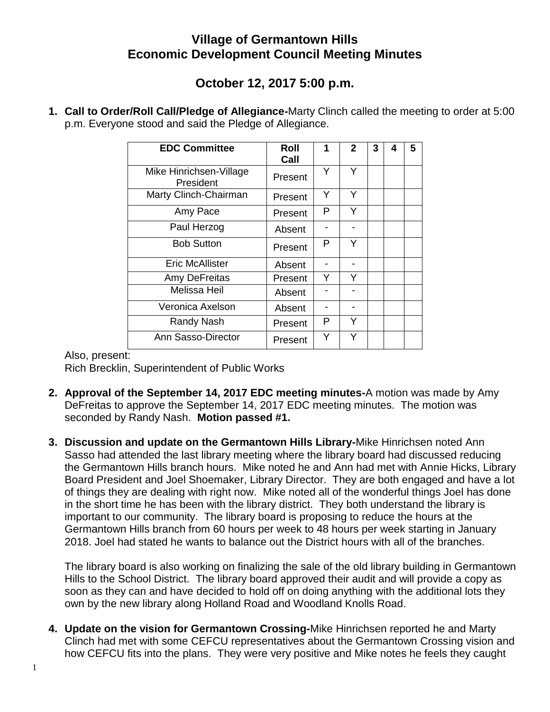## **Village of Germantown Hills Economic Development Council Meeting Minutes**

## **October 12, 2017 5:00 p.m.**

**1. Call to Order/Roll Call/Pledge of Allegiance-**Marty Clinch called the meeting to order at 5:00 p.m. Everyone stood and said the Pledge of Allegiance.

| <b>EDC Committee</b>                 | Roll<br>Call | 1 | $\mathbf{2}$ | 3 | 4 | 5 |
|--------------------------------------|--------------|---|--------------|---|---|---|
| Mike Hinrichsen-Village<br>President | Present      | Υ | Y            |   |   |   |
| Marty Clinch-Chairman                | Present      | Y | Y            |   |   |   |
| Amy Pace                             | Present      | Р | Y            |   |   |   |
| Paul Herzog                          | Absent       |   |              |   |   |   |
| <b>Bob Sutton</b>                    | Present      | P | Y            |   |   |   |
| <b>Eric McAllister</b>               | Absent       |   |              |   |   |   |
| Amy DeFreitas                        | Present      | Y | Y            |   |   |   |
| <b>Melissa Heil</b>                  | Absent       |   |              |   |   |   |
| Veronica Axelson                     | Absent       |   |              |   |   |   |
| <b>Randy Nash</b>                    | Present      | P | Y            |   |   |   |
| Ann Sasso-Director                   | Present      | Y | Y            |   |   |   |

Also, present:

Rich Brecklin, Superintendent of Public Works

- **2. Approval of the September 14, 2017 EDC meeting minutes-**A motion was made by Amy DeFreitas to approve the September 14, 2017 EDC meeting minutes. The motion was seconded by Randy Nash. **Motion passed #1.**
- **3. Discussion and update on the Germantown Hills Library-**Mike Hinrichsen noted Ann Sasso had attended the last library meeting where the library board had discussed reducing the Germantown Hills branch hours. Mike noted he and Ann had met with Annie Hicks, Library Board President and Joel Shoemaker, Library Director. They are both engaged and have a lot of things they are dealing with right now. Mike noted all of the wonderful things Joel has done in the short time he has been with the library district. They both understand the library is important to our community. The library board is proposing to reduce the hours at the Germantown Hills branch from 60 hours per week to 48 hours per week starting in January 2018. Joel had stated he wants to balance out the District hours with all of the branches.

The library board is also working on finalizing the sale of the old library building in Germantown Hills to the School District. The library board approved their audit and will provide a copy as soon as they can and have decided to hold off on doing anything with the additional lots they own by the new library along Holland Road and Woodland Knolls Road.

**4. Update on the vision for Germantown Crossing-**Mike Hinrichsen reported he and Marty Clinch had met with some CEFCU representatives about the Germantown Crossing vision and how CEFCU fits into the plans. They were very positive and Mike notes he feels they caught